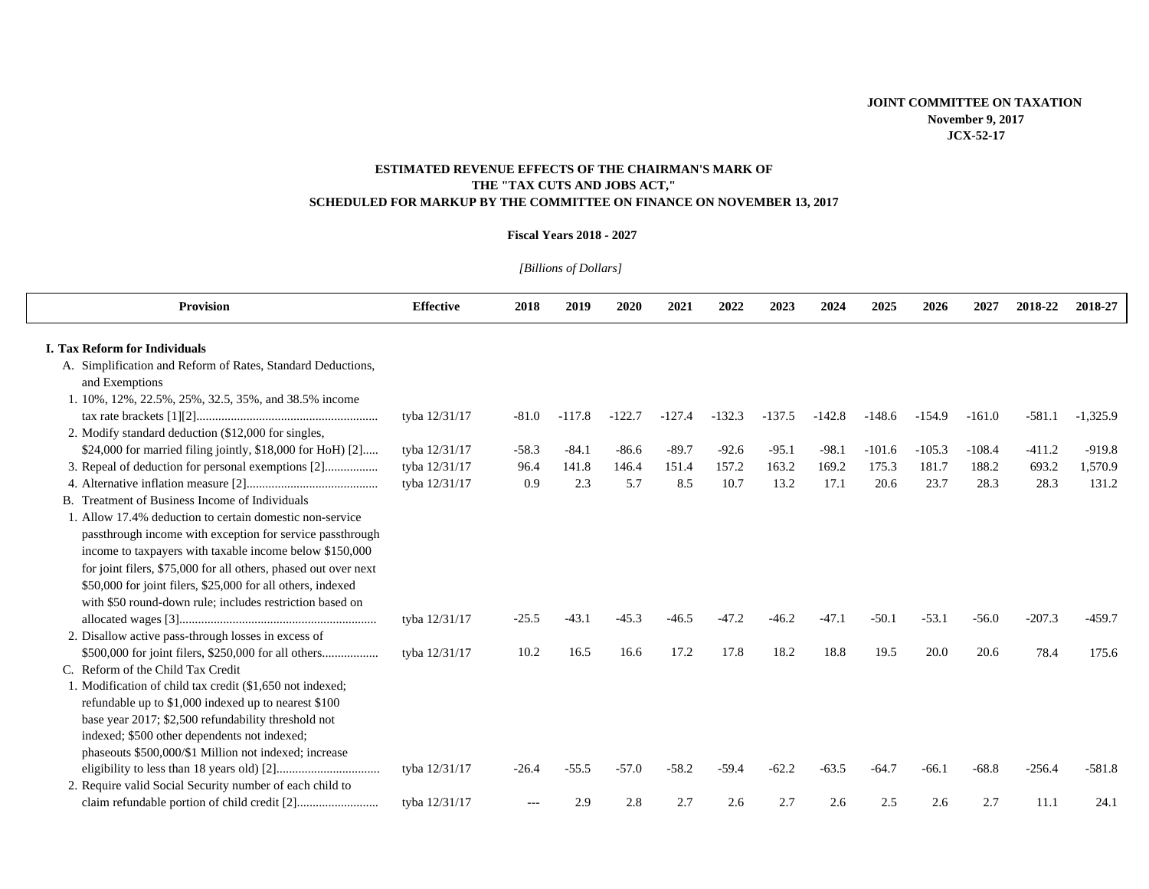## **ESTIMATED REVENUE EFFECTS OF THE CHAIRMAN'S MARK OF THE "TAX CUTS AND JOBS ACT," SCHEDULED FOR MARKUP BY THE COMMITTEE ON FINANCE ON NOVEMBER 13, 2017**

## **Fiscal Years 2018 - 2027**

*[Billions of Dollars]* 

| <b>Provision</b>                                                              | <b>Effective</b> | 2018    | 2019     | 2020     | 2021     | 2022     | 2023     | 2024     | 2025     | 2026     | 2027     | 2018-22  | 2018-27    |
|-------------------------------------------------------------------------------|------------------|---------|----------|----------|----------|----------|----------|----------|----------|----------|----------|----------|------------|
| <b>I. Tax Reform for Individuals</b>                                          |                  |         |          |          |          |          |          |          |          |          |          |          |            |
| A. Simplification and Reform of Rates, Standard Deductions,<br>and Exemptions |                  |         |          |          |          |          |          |          |          |          |          |          |            |
| 1. 10%, 12%, 22.5%, 25%, 32.5, 35%, and 38.5% income                          |                  |         |          |          |          |          |          |          |          |          |          |          |            |
|                                                                               | tyba 12/31/17    | $-81.0$ | $-117.8$ | $-122.7$ | $-127.4$ | $-132.3$ | $-137.5$ | $-142.8$ | $-148.6$ | $-154.9$ | $-161.0$ | $-581.1$ | $-1,325.9$ |
| 2. Modify standard deduction (\$12,000 for singles,                           |                  |         |          |          |          |          |          |          |          |          |          |          |            |
| \$24,000 for married filing jointly, \$18,000 for HoH [2]                     | tyba 12/31/17    | $-58.3$ | $-84.1$  | $-86.6$  | $-89.7$  | $-92.6$  | $-95.1$  | $-98.1$  | $-101.6$ | $-105.3$ | $-108.4$ | $-411.2$ | $-919.8$   |
|                                                                               | tyba 12/31/17    | 96.4    | 141.8    | 146.4    | 151.4    | 157.2    | 163.2    | 169.2    | 175.3    | 181.7    | 188.2    | 693.2    | 1,570.9    |
|                                                                               | tyba 12/31/17    | 0.9     | 2.3      | 5.7      | 8.5      | 10.7     | 13.2     | 17.1     | 20.6     | 23.7     | 28.3     | 28.3     | 131.2      |
| B. Treatment of Business Income of Individuals                                |                  |         |          |          |          |          |          |          |          |          |          |          |            |
| 1. Allow 17.4% deduction to certain domestic non-service                      |                  |         |          |          |          |          |          |          |          |          |          |          |            |
| passthrough income with exception for service passthrough                     |                  |         |          |          |          |          |          |          |          |          |          |          |            |
| income to taxpayers with taxable income below \$150,000                       |                  |         |          |          |          |          |          |          |          |          |          |          |            |
| for joint filers, \$75,000 for all others, phased out over next               |                  |         |          |          |          |          |          |          |          |          |          |          |            |
| \$50,000 for joint filers, \$25,000 for all others, indexed                   |                  |         |          |          |          |          |          |          |          |          |          |          |            |
| with \$50 round-down rule: includes restriction based on                      |                  |         |          |          |          |          |          |          |          |          |          |          |            |
|                                                                               | tyba 12/31/17    | $-25.5$ | $-43.1$  | $-45.3$  | $-46.5$  | $-47.2$  | $-46.2$  | $-47.1$  | $-50.1$  | $-53.1$  | $-56.0$  | $-207.3$ | $-459.7$   |
| 2. Disallow active pass-through losses in excess of                           |                  |         |          |          |          |          |          |          |          |          |          |          |            |
|                                                                               | tyba 12/31/17    | 10.2    | 16.5     | 16.6     | 17.2     | 17.8     | 18.2     | 18.8     | 19.5     | 20.0     | 20.6     | 78.4     | 175.6      |
| C. Reform of the Child Tax Credit                                             |                  |         |          |          |          |          |          |          |          |          |          |          |            |
| 1. Modification of child tax credit (\$1,650 not indexed;                     |                  |         |          |          |          |          |          |          |          |          |          |          |            |
| refundable up to \$1,000 indexed up to nearest \$100                          |                  |         |          |          |          |          |          |          |          |          |          |          |            |
| base year 2017; \$2,500 refundability threshold not                           |                  |         |          |          |          |          |          |          |          |          |          |          |            |
| indexed; \$500 other dependents not indexed;                                  |                  |         |          |          |          |          |          |          |          |          |          |          |            |
| phaseouts \$500,000/\$1 Million not indexed; increase                         |                  |         |          |          |          |          |          |          |          |          |          |          |            |
|                                                                               | tyba 12/31/17    | $-26.4$ | $-55.5$  | $-57.0$  | $-58.2$  | $-59.4$  | $-62.2$  | $-63.5$  | $-64.7$  | $-66.1$  | $-68.8$  | $-256.4$ | $-581.8$   |
| 2. Require valid Social Security number of each child to                      |                  |         |          |          |          |          |          |          |          |          |          |          |            |
|                                                                               | tyba 12/31/17    | $---$   | 2.9      | 2.8      | 2.7      | 2.6      | 2.7      | 2.6      | 2.5      | 2.6      | 2.7      | 11.1     | 24.1       |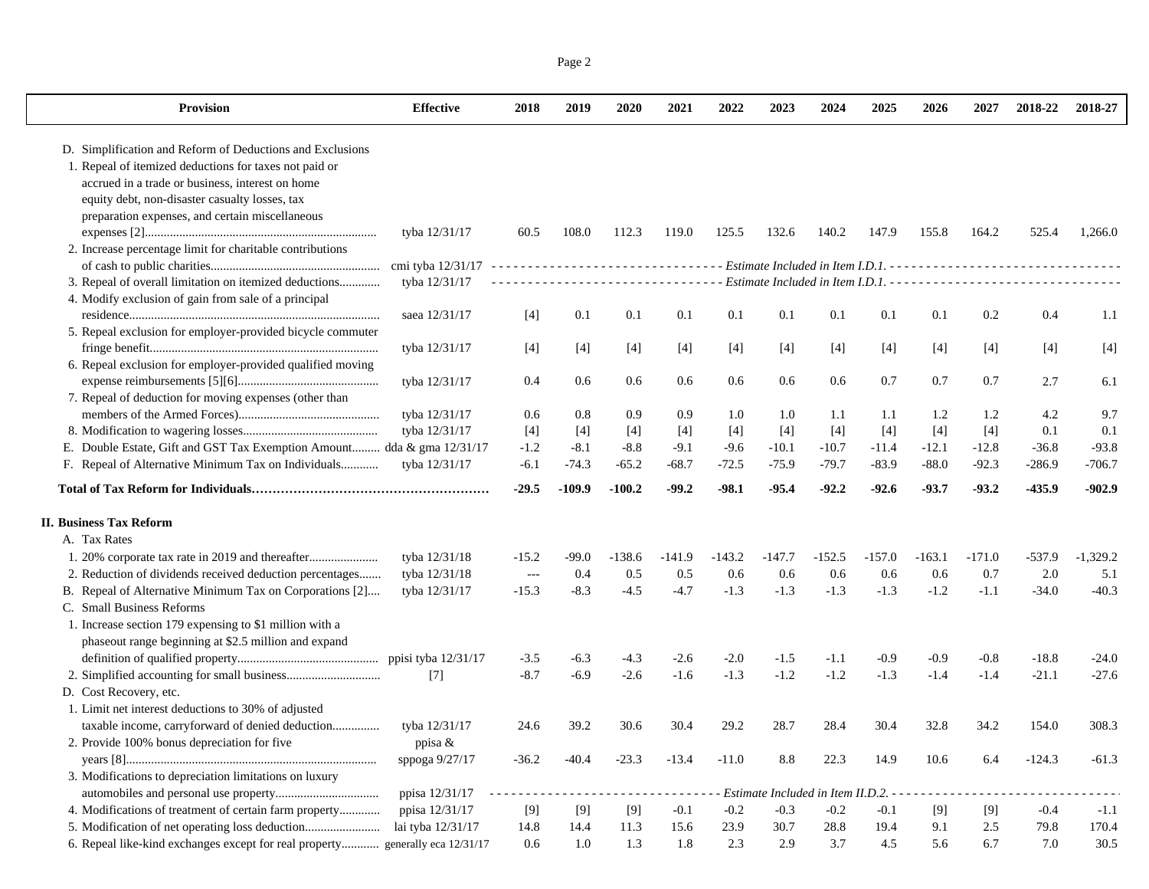| Page 2 |  |
|--------|--|
|        |  |

| <b>Provision</b>                                                       | <b>Effective</b>       | 2018           | 2019     | 2020     | 2021     | 2022     | 2023     | 2024                                | 2025     | 2026     | 2027     | 2018-22  | 2018-27    |
|------------------------------------------------------------------------|------------------------|----------------|----------|----------|----------|----------|----------|-------------------------------------|----------|----------|----------|----------|------------|
| D. Simplification and Reform of Deductions and Exclusions              |                        |                |          |          |          |          |          |                                     |          |          |          |          |            |
| 1. Repeal of itemized deductions for taxes not paid or                 |                        |                |          |          |          |          |          |                                     |          |          |          |          |            |
| accrued in a trade or business, interest on home                       |                        |                |          |          |          |          |          |                                     |          |          |          |          |            |
| equity debt, non-disaster casualty losses, tax                         |                        |                |          |          |          |          |          |                                     |          |          |          |          |            |
| preparation expenses, and certain miscellaneous                        |                        |                |          |          |          |          |          |                                     |          |          |          |          |            |
|                                                                        | tyba 12/31/17          | 60.5           | 108.0    | 112.3    | 119.0    | 125.5    | 132.6    | 140.2                               | 147.9    | 155.8    | 164.2    | 525.4    | 1,266.0    |
| 2. Increase percentage limit for charitable contributions              |                        |                |          |          |          |          |          |                                     |          |          |          |          |            |
|                                                                        |                        |                |          |          |          |          |          |                                     |          |          |          |          |            |
| 3. Repeal of overall limitation on itemized deductions                 | tyba 12/31/17          |                |          |          |          |          |          |                                     |          |          |          |          |            |
| 4. Modify exclusion of gain from sale of a principal                   |                        |                |          |          |          |          |          |                                     |          |          |          |          |            |
|                                                                        | saea 12/31/17          | $[4]$          | 0.1      | 0.1      | 0.1      | 0.1      | 0.1      | 0.1                                 | 0.1      | 0.1      | 0.2      | 0.4      | 1.1        |
| 5. Repeal exclusion for employer-provided bicycle commuter             |                        |                |          |          |          |          |          |                                     |          |          |          |          |            |
|                                                                        | tyba 12/31/17          | [4]            | $[4]$    | $[4]$    | $[4]$    | $[4]$    | [4]      | $[4]$                               | $[4]$    | [4]      | $[4]$    | [4]      | [4]        |
| 6. Repeal exclusion for employer-provided qualified moving             |                        |                |          |          |          |          |          |                                     |          |          |          |          |            |
|                                                                        | tyba 12/31/17          | 0.4            | 0.6      | $0.6\,$  | 0.6      | 0.6      | 0.6      | 0.6                                 | 0.7      | 0.7      | 0.7      | 2.7      | 6.1        |
| 7. Repeal of deduction for moving expenses (other than                 |                        |                |          |          |          |          |          |                                     |          |          |          |          |            |
|                                                                        | tyba 12/31/17          | 0.6            | 0.8      | 0.9      | 0.9      | 1.0      | 1.0      | 1.1                                 | 1.1      | 1.2      | 1.2      | 4.2      | 9.7        |
|                                                                        | tyba 12/31/17          | $[4]$          | $[4]$    | $[4]$    | $[4]$    | $[4]$    | $[4]$    | $[4]$                               | $[4]$    | $[4]$    | $[4]$    | 0.1      | 0.1        |
| E. Double Estate, Gift and GST Tax Exemption Amount dda & gma 12/31/17 |                        | $-1.2$         | $-8.1$   | $-8.8$   | $-9.1$   | $-9.6$   | $-10.1$  | $-10.7$                             | $-11.4$  | $-12.1$  | $-12.8$  | $-36.8$  | $-93.8$    |
|                                                                        | tyba 12/31/17          | $-6.1$         | $-74.3$  | $-65.2$  | $-68.7$  | $-72.5$  | $-75.9$  | $-79.7$                             | $-83.9$  | $-88.0$  | $-92.3$  | $-286.9$ | $-706.7$   |
|                                                                        |                        | $-29.5$        | $-109.9$ | $-100.2$ | $-99.2$  | $-98.1$  | $-95.4$  | $-92.2$                             | $-92.6$  | $-93.7$  | $-93.2$  | $-435.9$ | $-902.9$   |
| <b>II. Business Tax Reform</b>                                         |                        |                |          |          |          |          |          |                                     |          |          |          |          |            |
| A. Tax Rates                                                           |                        |                |          |          |          |          |          |                                     |          |          |          |          |            |
| 1. 20% corporate tax rate in 2019 and thereafter                       | tyba 12/31/18          | $-15.2$        | $-99.0$  | $-138.6$ | $-141.9$ | $-143.2$ | $-147.7$ | $-152.5$                            | $-157.0$ | $-163.1$ | $-171.0$ | $-537.9$ | $-1,329.2$ |
| 2. Reduction of dividends received deduction percentages               | tyba 12/31/18          | $\overline{a}$ | 0.4      | 0.5      | 0.5      | 0.6      | 0.6      | 0.6                                 | 0.6      | 0.6      | 0.7      | 2.0      | 5.1        |
| B. Repeal of Alternative Minimum Tax on Corporations [2]               | tyba 12/31/17          | $-15.3$        | $-8.3$   | $-4.5$   | $-4.7$   | $-1.3$   | $-1.3$   | $-1.3$                              | $-1.3$   | $-1.2$   | $-1.1$   | $-34.0$  | $-40.3$    |
| C. Small Business Reforms                                              |                        |                |          |          |          |          |          |                                     |          |          |          |          |            |
| 1. Increase section 179 expensing to \$1 million with a                |                        |                |          |          |          |          |          |                                     |          |          |          |          |            |
| phaseout range beginning at \$2.5 million and expand                   |                        |                |          |          |          |          |          |                                     |          |          |          |          |            |
|                                                                        | ppisi tyba 12/31/17    | $-3.5$         | $-6.3$   | $-4.3$   | $-2.6$   | $-2.0$   | $-1.5$   | $-1.1$                              | $-0.9$   | $-0.9$   | $-0.8$   | $-18.8$  | $-24.0$    |
|                                                                        | $[7]$                  | $-8.7$         | $-6.9$   | $-2.6$   | $-1.6$   | $-1.3$   | $-1.2$   | $-1.2$                              | $-1.3$   | $-1.4$   | $-1.4$   | $-21.1$  | $-27.6$    |
| D. Cost Recovery, etc.                                                 |                        |                |          |          |          |          |          |                                     |          |          |          |          |            |
| 1. Limit net interest deductions to 30% of adjusted                    |                        |                |          |          |          |          |          |                                     |          |          |          |          |            |
| taxable income, carryforward of denied deduction                       | tyba 12/31/17          | 24.6           | 39.2     | 30.6     | 30.4     | 29.2     | 28.7     | 28.4                                | 30.4     | 32.8     | 34.2     | 154.0    | 308.3      |
| 2. Provide 100% bonus depreciation for five                            | ppisa &                |                |          |          |          |          |          |                                     |          |          |          |          |            |
|                                                                        | sppoga 9/27/17         | $-36.2$        | $-40.4$  | $-23.3$  | $-13.4$  | $-11.0$  | 8.8      | 22.3                                | 14.9     | 10.6     | 6.4      | $-124.3$ | $-61.3$    |
| 3. Modifications to depreciation limitations on luxury                 |                        |                |          |          |          |          |          |                                     |          |          |          |          |            |
|                                                                        | ppisa 12/31/17         |                |          |          |          |          |          | Estimate Included in Item II.D.2. - |          |          |          |          |            |
|                                                                        | ppisa 12/31/17         | $[9]$          | [9]      | $[9]$    | $-0.1$   | $-0.2$   | $-0.3$   | $-0.2$                              | $-0.1$   | [9]      | $[9]$    | $-0.4$   | $-1.1$     |
|                                                                        | lai tyba 12/31/17      | 14.8           | 14.4     | 11.3     | 15.6     | 23.9     | 30.7     | 28.8                                | 19.4     | 9.1      | 2.5      | 79.8     | 170.4      |
| 6. Repeal like-kind exchanges except for real property                 | generally eca 12/31/17 | 0.6            | 1.0      | 1.3      | 1.8      | 2.3      | 2.9      | 3.7                                 | 4.5      | 5.6      | 6.7      | 7.0      | 30.5       |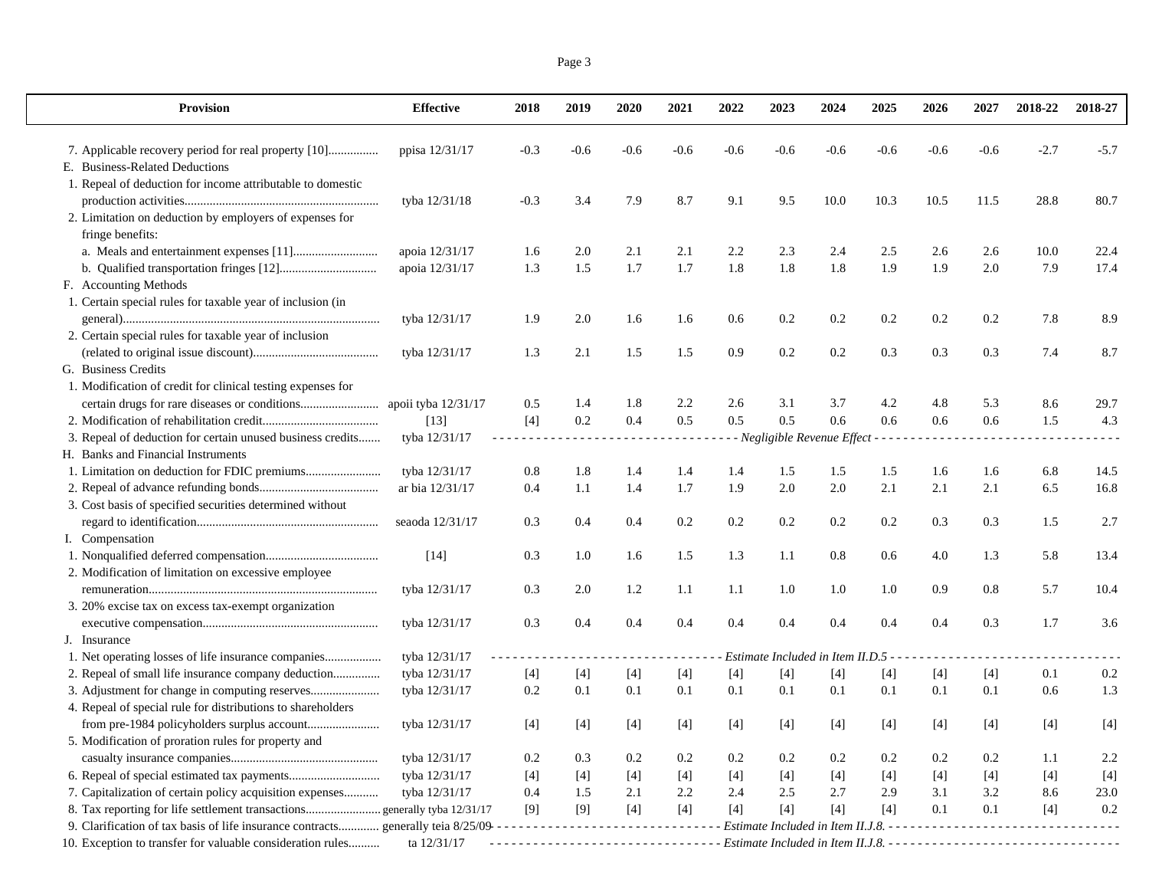| Page 3 |  |
|--------|--|
|        |  |

| <b>Provision</b>                                                                  | <b>Effective</b>    | 2018                 | 2019   | 2020   | 2021   | 2022   | 2023                                  | 2024   | 2025   | 2026   | 2027   | 2018-22 | 2018-27 |
|-----------------------------------------------------------------------------------|---------------------|----------------------|--------|--------|--------|--------|---------------------------------------|--------|--------|--------|--------|---------|---------|
|                                                                                   | ppisa 12/31/17      | $-0.3$               | $-0.6$ | $-0.6$ | $-0.6$ | $-0.6$ | $-0.6$                                | $-0.6$ | $-0.6$ | $-0.6$ | $-0.6$ | $-2.7$  | $-5.7$  |
| E. Business-Related Deductions                                                    |                     |                      |        |        |        |        |                                       |        |        |        |        |         |         |
| 1. Repeal of deduction for income attributable to domestic                        |                     |                      |        |        |        |        |                                       |        |        |        |        |         |         |
|                                                                                   | tyba 12/31/18       | $-0.3$               | 3.4    | 7.9    | 8.7    | 9.1    | 9.5                                   | 10.0   | 10.3   | 10.5   | 11.5   | 28.8    | 80.7    |
| 2. Limitation on deduction by employers of expenses for                           |                     |                      |        |        |        |        |                                       |        |        |        |        |         |         |
| fringe benefits:                                                                  |                     |                      |        |        |        |        |                                       |        |        |        |        |         |         |
|                                                                                   | apoia 12/31/17      | 1.6                  | 2.0    | 2.1    | 2.1    | 2.2    | 2.3                                   | 2.4    | 2.5    | 2.6    | 2.6    | 10.0    | 22.4    |
|                                                                                   | apoia 12/31/17      | 1.3                  | 1.5    | 1.7    | 1.7    | 1.8    | 1.8                                   | 1.8    | 1.9    | 1.9    | 2.0    | 7.9     | 17.4    |
| F. Accounting Methods                                                             |                     |                      |        |        |        |        |                                       |        |        |        |        |         |         |
| 1. Certain special rules for taxable year of inclusion (in                        |                     |                      |        |        |        |        |                                       |        |        |        |        |         |         |
|                                                                                   | tyba 12/31/17       | 1.9                  | 2.0    | 1.6    | 1.6    | 0.6    | 0.2                                   | 0.2    | 0.2    | 0.2    | 0.2    | 7.8     | 8.9     |
| 2. Certain special rules for taxable year of inclusion                            |                     |                      |        |        |        |        |                                       |        |        |        |        |         |         |
|                                                                                   | tyba 12/31/17       | 1.3                  | 2.1    | 1.5    | 1.5    | 0.9    | 0.2                                   | 0.2    | 0.3    | 0.3    | 0.3    | 7.4     | 8.7     |
| G. Business Credits                                                               |                     |                      |        |        |        |        |                                       |        |        |        |        |         |         |
| 1. Modification of credit for clinical testing expenses for                       |                     |                      |        |        |        |        |                                       |        |        |        |        |         |         |
|                                                                                   | apoii tyba 12/31/17 | 0.5                  | 1.4    | 1.8    | 2.2    | 2.6    | 3.1                                   | 3.7    | 4.2    | 4.8    | 5.3    | 8.6     | 29.7    |
|                                                                                   | $[13]$              | $[4]$                | 0.2    | 0.4    | 0.5    | 0.5    | 0.5                                   | 0.6    | 0.6    | 0.6    | 0.6    | 1.5     | 4.3     |
| 3. Repeal of deduction for certain unused business credits                        | tyba 12/31/17       | $\sim$ $\sim$ $\sim$ |        |        |        |        | - Negligible Revenue Effect - - - -   |        |        |        |        |         |         |
| H. Banks and Financial Instruments                                                |                     |                      |        |        |        |        |                                       |        |        |        |        |         |         |
|                                                                                   | tyba 12/31/17       | 0.8                  | 1.8    | 1.4    | 1.4    | 1.4    | 1.5                                   | 1.5    | 1.5    | 1.6    | 1.6    | 6.8     | 14.5    |
|                                                                                   | ar bia 12/31/17     | 0.4                  | 1.1    | 1.4    | 1.7    | 1.9    | 2.0                                   | 2.0    | 2.1    | 2.1    | 2.1    | 6.5     | 16.8    |
| 3. Cost basis of specified securities determined without                          |                     |                      |        |        |        |        |                                       |        |        |        |        |         |         |
|                                                                                   | seaoda 12/31/17     | 0.3                  | 0.4    | 0.4    | 0.2    | 0.2    | 0.2                                   | 0.2    | 0.2    | 0.3    | 0.3    | 1.5     | 2.7     |
| I. Compensation                                                                   |                     |                      |        |        |        |        |                                       |        |        |        |        |         |         |
|                                                                                   | $[14]$              | 0.3                  | 1.0    | 1.6    | 1.5    | 1.3    | 1.1                                   | 0.8    | 0.6    | 4.0    | 1.3    | 5.8     | 13.4    |
| 2. Modification of limitation on excessive employee                               |                     |                      |        |        |        |        |                                       |        |        |        |        |         |         |
|                                                                                   | tyba 12/31/17       | 0.3                  | 2.0    | 1.2    | 1.1    | 1.1    | 1.0                                   | 1.0    | 1.0    | 0.9    | 0.8    | 5.7     | 10.4    |
| 3. 20% excise tax on excess tax-exempt organization                               |                     |                      |        |        |        |        |                                       |        |        |        |        |         |         |
|                                                                                   | tyba 12/31/17       | 0.3                  | 0.4    | 0.4    | 0.4    | 0.4    | 0.4                                   | 0.4    | 0.4    | 0.4    | 0.3    | 1.7     | 3.6     |
| J. Insurance                                                                      |                     |                      |        |        |        |        |                                       |        |        |        |        |         |         |
| 1. Net operating losses of life insurance companies                               | tyba 12/31/17       |                      |        |        |        |        | Estimate Included in Item II.D.5      |        |        |        |        |         |         |
| 2. Repeal of small life insurance company deduction                               | tyba 12/31/17       | $[4]$                | $[4]$  | $[4]$  | $[4]$  | $[4]$  | $[4]$                                 | $[4]$  | $[4]$  | $[4]$  | $[4]$  | 0.1     | 0.2     |
|                                                                                   | tyba 12/31/17       | 0.2                  | 0.1    | 0.1    | 0.1    | 0.1    | 0.1                                   | 0.1    | 0.1    | 0.1    | 0.1    | 0.6     | 1.3     |
| 4. Repeal of special rule for distributions to shareholders                       |                     |                      |        |        |        |        |                                       |        |        |        |        |         |         |
|                                                                                   | tyba 12/31/17       | $[4]$                | $[4]$  | $[4]$  | $[4]$  | $[4]$  | $[4]$                                 | $[4]$  | $[4]$  | $[4]$  | $[4]$  | $[4]$   | $[4]$   |
| 5. Modification of proration rules for property and                               |                     |                      |        |        |        |        |                                       |        |        |        |        |         |         |
|                                                                                   | tyba 12/31/17       | 0.2                  | 0.3    | 0.2    | 0.2    | 0.2    | 0.2                                   | 0.2    | 0.2    | 0.2    | 0.2    | 1.1     | 2.2     |
|                                                                                   | tyba 12/31/17       | $[4]$                | [4]    | $[4]$  | [4]    | $[4]$  | $[4]$                                 | [4]    | [4]    | $[4]$  | $[4]$  | $[4]$   | $[4]$   |
| 7. Capitalization of certain policy acquisition expenses                          | tyba 12/31/17       | 0.4                  | 1.5    | 2.1    | 2.2    | 2.4    | 2.5                                   | 2.7    | 2.9    | 3.1    | 3.2    | 8.6     | 23.0    |
| 8. Tax reporting for life settlement transactions generally tyba 12/31/17         |                     | [9]                  | $[9]$  | $[4]$  | $[4]$  | $[4]$  | $[4]$                                 | $[4]$  | $[4]$  | 0.1    | 0.1    | $[4]$   | 0.2     |
| 9. Clarification of tax basis of life insurance contracts generally teia 8/25/09- |                     | .                    |        |        | .      |        | Estimate Included in Item II.J.8. - - |        |        |        |        |         |         |
| 10. Exception to transfer for valuable consideration rules                        | ta 12/31/17         |                      |        |        |        |        |                                       |        |        |        |        |         |         |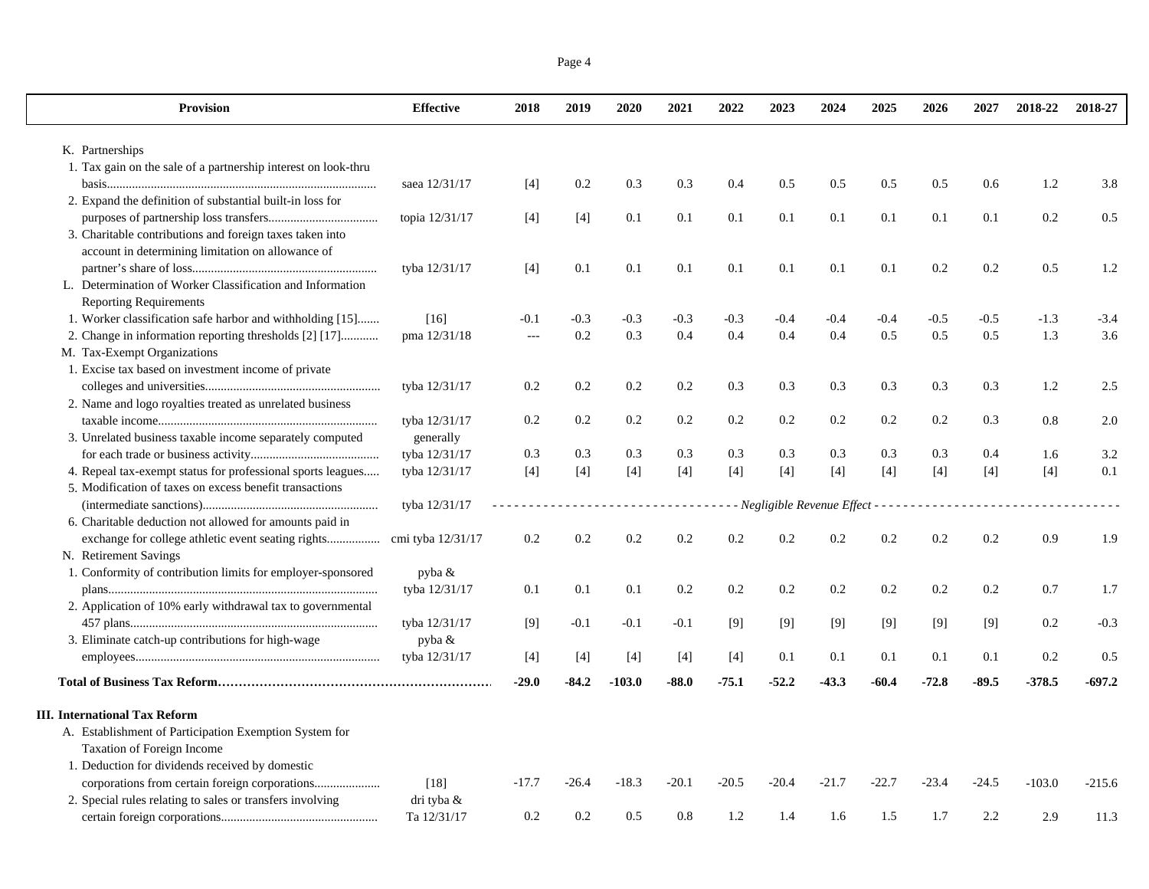|--|--|

| <b>Provision</b>                                               | <b>Effective</b>  | 2018           | 2019    | 2020     | 2021    | 2022    | 2023                                                    | 2024    | 2025    | 2026    | 2027    | 2018-22  | 2018-27    |
|----------------------------------------------------------------|-------------------|----------------|---------|----------|---------|---------|---------------------------------------------------------|---------|---------|---------|---------|----------|------------|
| K. Partnerships                                                |                   |                |         |          |         |         |                                                         |         |         |         |         |          |            |
| 1. Tax gain on the sale of a partnership interest on look-thru |                   |                |         |          |         |         |                                                         |         |         |         |         |          |            |
|                                                                | saea 12/31/17     | $[4]$          | 0.2     | 0.3      | 0.3     | 0.4     | 0.5                                                     | 0.5     | 0.5     | 0.5     | 0.6     | 1.2      | 3.8        |
| 2. Expand the definition of substantial built-in loss for      |                   |                |         |          |         |         |                                                         |         |         |         |         |          |            |
|                                                                | topia 12/31/17    | $[4]$          | $[4]$   | 0.1      | 0.1     | 0.1     | 0.1                                                     | 0.1     | 0.1     | 0.1     | 0.1     | 0.2      | 0.5        |
| 3. Charitable contributions and foreign taxes taken into       |                   |                |         |          |         |         |                                                         |         |         |         |         |          |            |
| account in determining limitation on allowance of              |                   |                |         |          |         |         |                                                         |         |         |         |         |          |            |
|                                                                | tyba 12/31/17     | $[4]$          | 0.1     | 0.1      | 0.1     | 0.1     | 0.1                                                     | 0.1     | 0.1     | 0.2     | 0.2     | 0.5      | 1.2        |
| L. Determination of Worker Classification and Information      |                   |                |         |          |         |         |                                                         |         |         |         |         |          |            |
| <b>Reporting Requirements</b>                                  |                   |                |         |          |         |         |                                                         |         |         |         |         |          |            |
| 1. Worker classification safe harbor and withholding [15]      | [16]              | $-0.1$         | $-0.3$  | $-0.3$   | $-0.3$  | $-0.3$  | $-0.4$                                                  | $-0.4$  | $-0.4$  | $-0.5$  | $-0.5$  | $-1.3$   | $-3.4$     |
| 2. Change in information reporting thresholds [2] [17]         | pma 12/31/18      | $\overline{a}$ | 0.2     | 0.3      | 0.4     | 0.4     | 0.4                                                     | 0.4     | 0.5     | 0.5     | 0.5     | 1.3      | 3.6        |
| M. Tax-Exempt Organizations                                    |                   |                |         |          |         |         |                                                         |         |         |         |         |          |            |
| 1. Excise tax based on investment income of private            |                   |                |         |          |         |         |                                                         |         |         |         |         |          |            |
|                                                                | tyba 12/31/17     | 0.2            | 0.2     | 0.2      | 0.2     | 0.3     | 0.3                                                     | 0.3     | 0.3     | 0.3     | 0.3     | 1.2      | 2.5        |
| 2. Name and logo royalties treated as unrelated business       |                   |                |         |          |         |         |                                                         |         |         |         |         |          |            |
|                                                                | tyba 12/31/17     | 0.2            | 0.2     | 0.2      | 0.2     | 0.2     | 0.2                                                     | 0.2     | 0.2     | 0.2     | 0.3     | 0.8      | 2.0        |
| 3. Unrelated business taxable income separately computed       | generally         |                |         |          |         |         |                                                         |         |         |         |         |          |            |
|                                                                | tyba 12/31/17     | 0.3            | 0.3     | 0.3      | 0.3     | 0.3     | 0.3                                                     | 0.3     | 0.3     | 0.3     | 0.4     | 1.6      | 3.2<br>0.1 |
| 4. Repeal tax-exempt status for professional sports leagues    | tyba 12/31/17     | $[4]$          | $[4]$   | $[4]$    | $[4]$   | $[4]$   | $[4]$                                                   | $[4]$   | $[4]$   | $[4]$   | $[4]$   | $[4]$    |            |
| 5. Modification of taxes on excess benefit transactions        | tyba 12/31/17     |                |         |          | .       |         | $-$ - Negligible Revenue Effect - - - - - - - - - - - - |         |         |         |         |          |            |
| 6. Charitable deduction not allowed for amounts paid in        |                   |                |         |          |         |         |                                                         |         |         |         |         |          |            |
| exchange for college athletic event seating rights             | cmi tyba 12/31/17 | 0.2            | 0.2     | 0.2      | 0.2     | 0.2     | 0.2                                                     | 0.2     | 0.2     | 0.2     | 0.2     | 0.9      | 1.9        |
| N. Retirement Savings                                          |                   |                |         |          |         |         |                                                         |         |         |         |         |          |            |
| 1. Conformity of contribution limits for employer-sponsored    | pyba &            |                |         |          |         |         |                                                         |         |         |         |         |          |            |
|                                                                | tyba 12/31/17     | 0.1            | 0.1     | 0.1      | 0.2     | 0.2     | 0.2                                                     | 0.2     | 0.2     | 0.2     | 0.2     | 0.7      | 1.7        |
| 2. Application of 10% early withdrawal tax to governmental     |                   |                |         |          |         |         |                                                         |         |         |         |         |          |            |
|                                                                | tyba 12/31/17     | $[9]$          | $-0.1$  | $-0.1$   | $-0.1$  | [9]     | [9]                                                     | $[9]$   | [9]     | [9]     | [9]     | 0.2      | $-0.3$     |
| 3. Eliminate catch-up contributions for high-wage              | pyba &            |                |         |          |         |         |                                                         |         |         |         |         |          |            |
|                                                                | tyba 12/31/17     | $[4]$          | $[4]$   | $[4]$    | $[4]$   | $[4]$   | 0.1                                                     | 0.1     | 0.1     | 0.1     | 0.1     | 0.2      | 0.5        |
|                                                                |                   | $-29.0$        | $-84.2$ | $-103.0$ | $-88.0$ | $-75.1$ | $-52.2$                                                 | $-43.3$ | $-60.4$ | $-72.8$ | $-89.5$ | $-378.5$ | $-697.2$   |
|                                                                |                   |                |         |          |         |         |                                                         |         |         |         |         |          |            |
| <b>III.</b> International Tax Reform                           |                   |                |         |          |         |         |                                                         |         |         |         |         |          |            |
| A. Establishment of Participation Exemption System for         |                   |                |         |          |         |         |                                                         |         |         |         |         |          |            |
| Taxation of Foreign Income                                     |                   |                |         |          |         |         |                                                         |         |         |         |         |          |            |
| 1. Deduction for dividends received by domestic                |                   |                |         |          |         |         |                                                         |         |         |         |         |          |            |
|                                                                | $[18]$            | $-17.7$        | $-26.4$ | $-18.3$  | $-20.1$ | $-20.5$ | $-20.4$                                                 | $-21.7$ | $-22.7$ | $-23.4$ | $-24.5$ | $-103.0$ | $-215.6$   |
| 2. Special rules relating to sales or transfers involving      | dri tyba &        |                |         |          |         |         |                                                         |         |         |         |         |          |            |
|                                                                | Ta 12/31/17       | 0.2            | 0.2     | 0.5      | 0.8     | 1.2     | 1.4                                                     | 1.6     | 1.5     | 1.7     | 2.2     | 2.9      | 11.3       |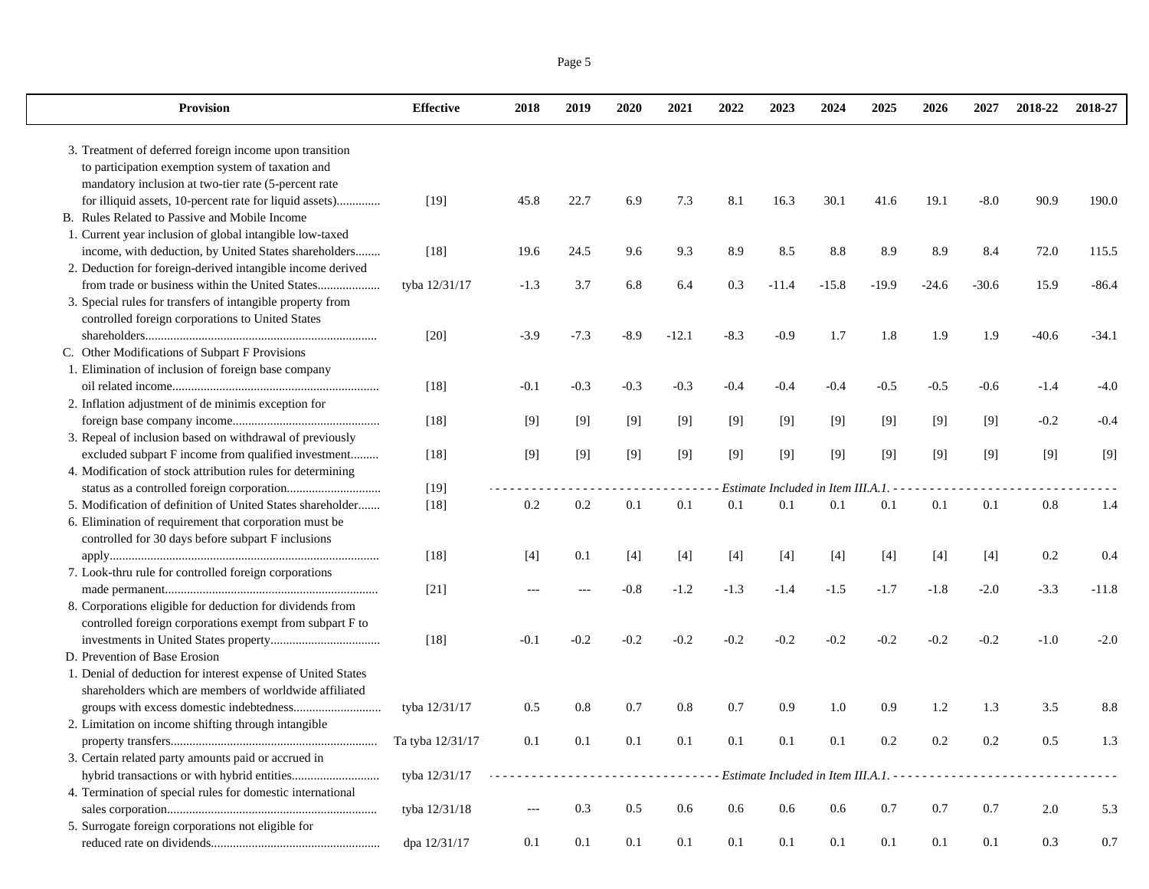|--|--|

| Provision                                                    | <b>Effective</b> | 2018   | 2019    | 2020    | 2021    | 2022   | 2023                                      | 2024    | 2025    | 2026    | 2027    | 2018-22 | 2018-27 |
|--------------------------------------------------------------|------------------|--------|---------|---------|---------|--------|-------------------------------------------|---------|---------|---------|---------|---------|---------|
| 3. Treatment of deferred foreign income upon transition      |                  |        |         |         |         |        |                                           |         |         |         |         |         |         |
| to participation exemption system of taxation and            |                  |        |         |         |         |        |                                           |         |         |         |         |         |         |
| mandatory inclusion at two-tier rate (5-percent rate         |                  |        |         |         |         |        |                                           |         |         |         |         |         |         |
| for illiquid assets, 10-percent rate for liquid assets)      | $[19]$           | 45.8   | 22.7    | 6.9     | 7.3     | 8.1    | 16.3                                      | 30.1    | 41.6    | 19.1    | $-8.0$  | 90.9    | 190.0   |
| B. Rules Related to Passive and Mobile Income                |                  |        |         |         |         |        |                                           |         |         |         |         |         |         |
| 1. Current year inclusion of global intangible low-taxed     |                  |        |         |         |         |        |                                           |         |         |         |         |         |         |
| income, with deduction, by United States shareholders        | $[18]$           | 19.6   | 24.5    | 9.6     | 9.3     | 8.9    | 8.5                                       | 8.8     | 8.9     | 8.9     | 8.4     | 72.0    | 115.5   |
| 2. Deduction for foreign-derived intangible income derived   |                  |        |         |         |         |        |                                           |         |         |         |         |         |         |
| from trade or business within the United States              | tyba 12/31/17    | $-1.3$ | 3.7     | 6.8     | 6.4     | 0.3    | $-11.4$                                   | $-15.8$ | $-19.9$ | $-24.6$ | $-30.6$ | 15.9    | $-86.4$ |
| 3. Special rules for transfers of intangible property from   |                  |        |         |         |         |        |                                           |         |         |         |         |         |         |
| controlled foreign corporations to United States             |                  |        |         |         |         |        |                                           |         |         |         |         |         |         |
|                                                              | $[20]$           | $-3.9$ | $-7.3$  | $-8.9$  | $-12.1$ | $-8.3$ | $-0.9$                                    | 1.7     | 1.8     | 1.9     | 1.9     | $-40.6$ | $-34.1$ |
| C. Other Modifications of Subpart F Provisions               |                  |        |         |         |         |        |                                           |         |         |         |         |         |         |
| 1. Elimination of inclusion of foreign base company          |                  |        |         |         |         |        |                                           |         |         |         |         |         |         |
|                                                              | $[18]$           | $-0.1$ | $-0.3$  | $-0.3$  | $-0.3$  | $-0.4$ | $-0.4$                                    | $-0.4$  | $-0.5$  | $-0.5$  | $-0.6$  | $-1.4$  | $-4.0$  |
| 2. Inflation adjustment of de minimis exception for          |                  |        |         |         |         |        |                                           |         |         |         |         |         |         |
|                                                              | $[18]$           | [9]    | [9]     | [9]     | [9]     | $[9]$  | [9]                                       | [9]     | [9]     | $[9]$   | [9]     | $-0.2$  | $-0.4$  |
| 3. Repeal of inclusion based on withdrawal of previously     |                  |        |         |         |         |        |                                           |         |         |         |         |         |         |
| excluded subpart F income from qualified investment          | $[18]$           | [9]    | [9]     | [9]     | [9]     | $[9]$  | $[9]$                                     | $[9]$   | [9]     | [9]     | $[9]$   | [9]     | $[9]$   |
| 4. Modification of stock attribution rules for determining   |                  |        |         |         |         |        |                                           |         |         |         |         |         |         |
| 5. Modification of definition of United States shareholder   | $[19]$           | 0.2    | 0.2     | 0.1     | 0.1     | 0.1    | Estimate Included in Item III.A.1.<br>0.1 | 0.1     | 0.1     | 0.1     | 0.1     | $0.8\,$ | 1.4     |
| 6. Elimination of requirement that corporation must be       | $[18]$           |        |         |         |         |        |                                           |         |         |         |         |         |         |
| controlled for 30 days before subpart F inclusions           |                  |        |         |         |         |        |                                           |         |         |         |         |         |         |
|                                                              | $[18]$           | $[4]$  | 0.1     | $[4]$   | $[4]$   | $[4]$  | $[4]$                                     | $[4]$   | $[4]$   | $[4]$   | $[4]$   | 0.2     | 0.4     |
| 7. Look-thru rule for controlled foreign corporations        |                  |        |         |         |         |        |                                           |         |         |         |         |         |         |
|                                                              | $[21]$           | $---$  | ---     | $-0.8$  | $-1.2$  | $-1.3$ | $-1.4$                                    | $-1.5$  | $-1.7$  | $-1.8$  | $-2.0$  | $-3.3$  | $-11.8$ |
| 8. Corporations eligible for deduction for dividends from    |                  |        |         |         |         |        |                                           |         |         |         |         |         |         |
| controlled foreign corporations exempt from subpart F to     |                  |        |         |         |         |        |                                           |         |         |         |         |         |         |
|                                                              | $[18]$           | $-0.1$ | $-0.2$  | $-0.2$  | $-0.2$  | $-0.2$ | $-0.2$                                    | $-0.2$  | $-0.2$  | $-0.2$  | $-0.2$  | $-1.0$  | $-2.0$  |
| D. Prevention of Base Erosion                                |                  |        |         |         |         |        |                                           |         |         |         |         |         |         |
| 1. Denial of deduction for interest expense of United States |                  |        |         |         |         |        |                                           |         |         |         |         |         |         |
| shareholders which are members of worldwide affiliated       |                  |        |         |         |         |        |                                           |         |         |         |         |         |         |
|                                                              | tyba 12/31/17    | 0.5    | 0.8     | 0.7     | 0.8     | 0.7    | 0.9                                       | 1.0     | 0.9     | 1.2     | 1.3     | 3.5     | 8.8     |
| 2. Limitation on income shifting through intangible          |                  |        |         |         |         |        |                                           |         |         |         |         |         |         |
|                                                              | Ta tyba 12/31/17 | 0.1    | 0.1     | $0.1\,$ | 0.1     | 0.1    | $0.1\,$                                   | 0.1     | 0.2     | 0.2     | 0.2     | 0.5     | 1.3     |
| 3. Certain related party amounts paid or accrued in          |                  |        |         |         |         |        |                                           |         |         |         |         |         |         |
|                                                              | tyba 12/31/17    |        |         |         |         |        |                                           |         |         |         |         |         |         |
| 4. Termination of special rules for domestic international   |                  |        |         |         |         |        |                                           |         |         |         |         |         |         |
|                                                              | tyba 12/31/18    |        | 0.3     | 0.5     | 0.6     | 0.6    | 0.6                                       | 0.6     | $0.7\,$ | $0.7\,$ | 0.7     | 2.0     | 5.3     |
| 5. Surrogate foreign corporations not eligible for           |                  |        |         |         |         |        |                                           |         |         |         |         |         |         |
|                                                              | dpa 12/31/17     | 0.1    | $0.1\,$ | 0.1     | 0.1     | 0.1    | $0.1\,$                                   | 0.1     | 0.1     | $0.1\,$ | 0.1     | 0.3     | 0.7     |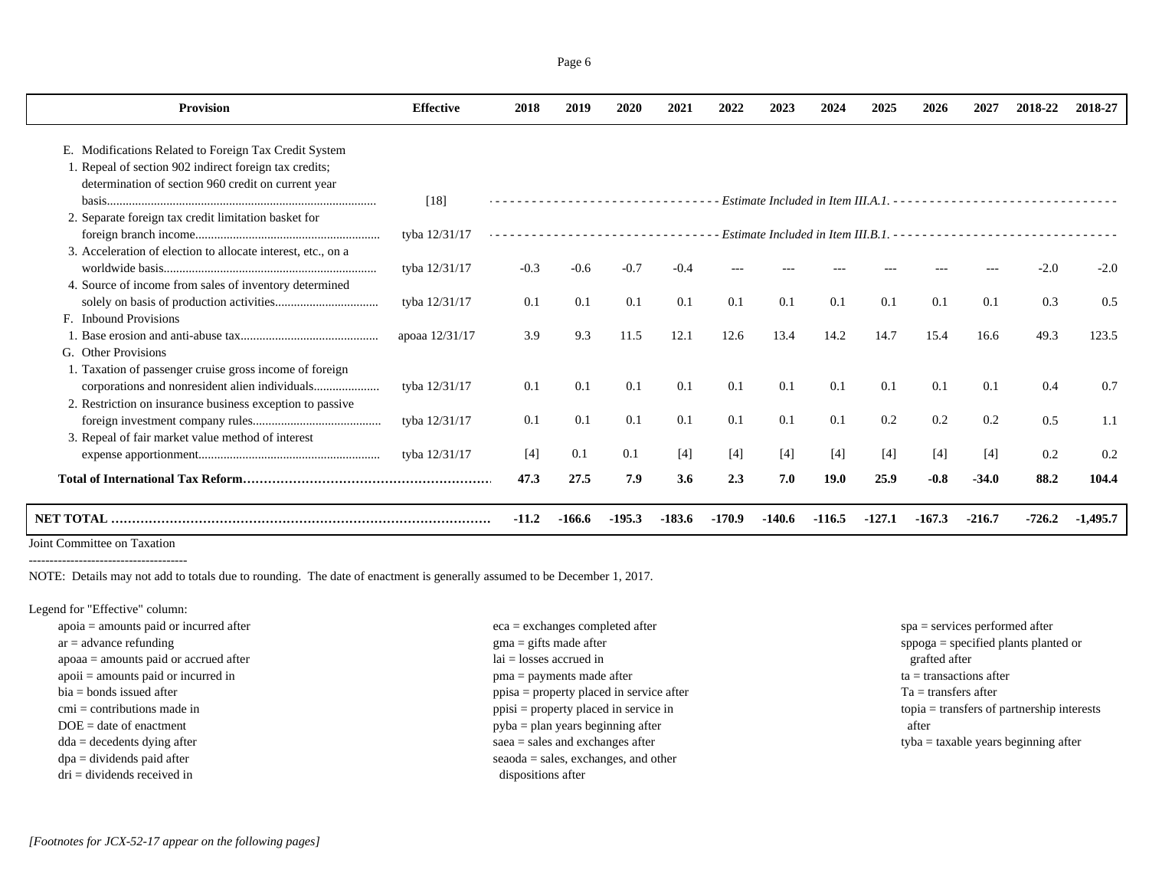| <b>Provision</b>                                             | <b>Effective</b> | 2018    | 2019   | 2020     | 2021     | 2022     | 2023   | 2024     | 2025     | 2026     | 2027     | 2018-22  | 2018-27    |
|--------------------------------------------------------------|------------------|---------|--------|----------|----------|----------|--------|----------|----------|----------|----------|----------|------------|
|                                                              |                  |         |        |          |          |          |        |          |          |          |          |          |            |
| E. Modifications Related to Foreign Tax Credit System        |                  |         |        |          |          |          |        |          |          |          |          |          |            |
| 1. Repeal of section 902 indirect foreign tax credits;       |                  |         |        |          |          |          |        |          |          |          |          |          |            |
| determination of section 960 credit on current year          |                  |         |        |          |          |          |        |          |          |          |          |          |            |
|                                                              | [18]             |         |        |          |          |          |        |          |          |          |          |          |            |
| 2. Separate foreign tax credit limitation basket for         |                  |         |        |          |          |          |        |          |          |          |          |          |            |
|                                                              | tyba 12/31/17    |         |        |          |          |          |        |          |          |          |          |          |            |
| 3. Acceleration of election to allocate interest, etc., on a |                  |         |        |          |          |          |        |          |          |          |          |          |            |
|                                                              | tyba 12/31/17    | $-0.3$  | $-0.6$ | $-0.7$   | $-0.4$   |          |        |          |          |          |          | $-2.0$   | $-2.0$     |
| 4. Source of income from sales of inventory determined       |                  |         |        |          |          |          |        |          |          |          |          |          |            |
|                                                              | tyba 12/31/17    | 0.1     | 0.1    | 0.1      | 0.1      | 0.1      | 0.1    | 0.1      | 0.1      | 0.1      | 0.1      | 0.3      | 0.5        |
| F. Inbound Provisions                                        |                  |         |        |          |          |          |        |          |          |          |          |          |            |
|                                                              | apoaa 12/31/17   | 3.9     | 9.3    | 11.5     | 12.1     | 12.6     | 13.4   | 14.2     | 14.7     | 15.4     | 16.6     | 49.3     | 123.5      |
| G. Other Provisions                                          |                  |         |        |          |          |          |        |          |          |          |          |          |            |
| 1. Taxation of passenger cruise gross income of foreign      |                  |         |        |          |          |          |        |          |          |          |          |          |            |
|                                                              | tyba 12/31/17    | 0.1     | 0.1    | 0.1      | 0.1      | 0.1      | 0.1    | 0.1      | 0.1      | 0.1      | 0.1      | 0.4      | 0.7        |
| 2. Restriction on insurance business exception to passive    |                  |         |        |          |          |          |        |          |          |          |          |          |            |
|                                                              | tyba 12/31/17    | 0.1     | 0.1    | 0.1      | 0.1      | 0.1      | 0.1    | 0.1      | 0.2      | 0.2      | 0.2      | 0.5      | 1.1        |
| 3. Repeal of fair market value method of interest            |                  |         |        |          |          |          |        |          |          |          |          |          |            |
|                                                              | tyba 12/31/17    | $[4]$   | 0.1    | 0.1      | $[4]$    | $[4]$    | $[4]$  | [4]      | $[4]$    | $[4]$    | $[4]$    | 0.2      | 0.2        |
|                                                              |                  | 47.3    | 27.5   | 7.9      | 3.6      | 2.3      | 7.0    | 19.0     | 25.9     | $-0.8$   | $-34.0$  | 88.2     | 104.4      |
|                                                              |                  | $-11.2$ | -166.6 | $-195.3$ | $-183.6$ | $-170.9$ | -140.6 | $-116.5$ | $-127.1$ | $-167.3$ | $-216.7$ | $-726.2$ | $-1,495.7$ |
| Joint Committee on Taxation                                  |                  |         |        |          |          |          |        |          |          |          |          |          |            |

--------------------------------------

NOTE: Details may not add to totals due to rounding. The date of enactment is generally assumed to be December 1, 2017.

Legend for "Effective" column:

| $eca =$ exchanges completed after           | $spa =$ services performed after                    |
|---------------------------------------------|-----------------------------------------------------|
| $\text{g}$ ma = gifts made after            | $\text{spoga} = \text{specified plants planted or}$ |
| $lai = losses accrued in$                   | grafted after                                       |
| $pma = payments$ made after                 | $ta =$ transactions after                           |
| $ppisa = property placed in service after$  | $Ta =$ transfers after                              |
| $ppisi = property placed in service in$     | $topia = \text{transfers of partnership interests}$ |
| $pyba = plan \text{ years beginning after}$ | after                                               |
| $saea = sales$ and exchanges after          | $t$ <sub>v</sub> ba = taxable years beginning after |
| $seaoda = sales$ , exchanges, and other     |                                                     |
| dispositions after                          |                                                     |
|                                             |                                                     |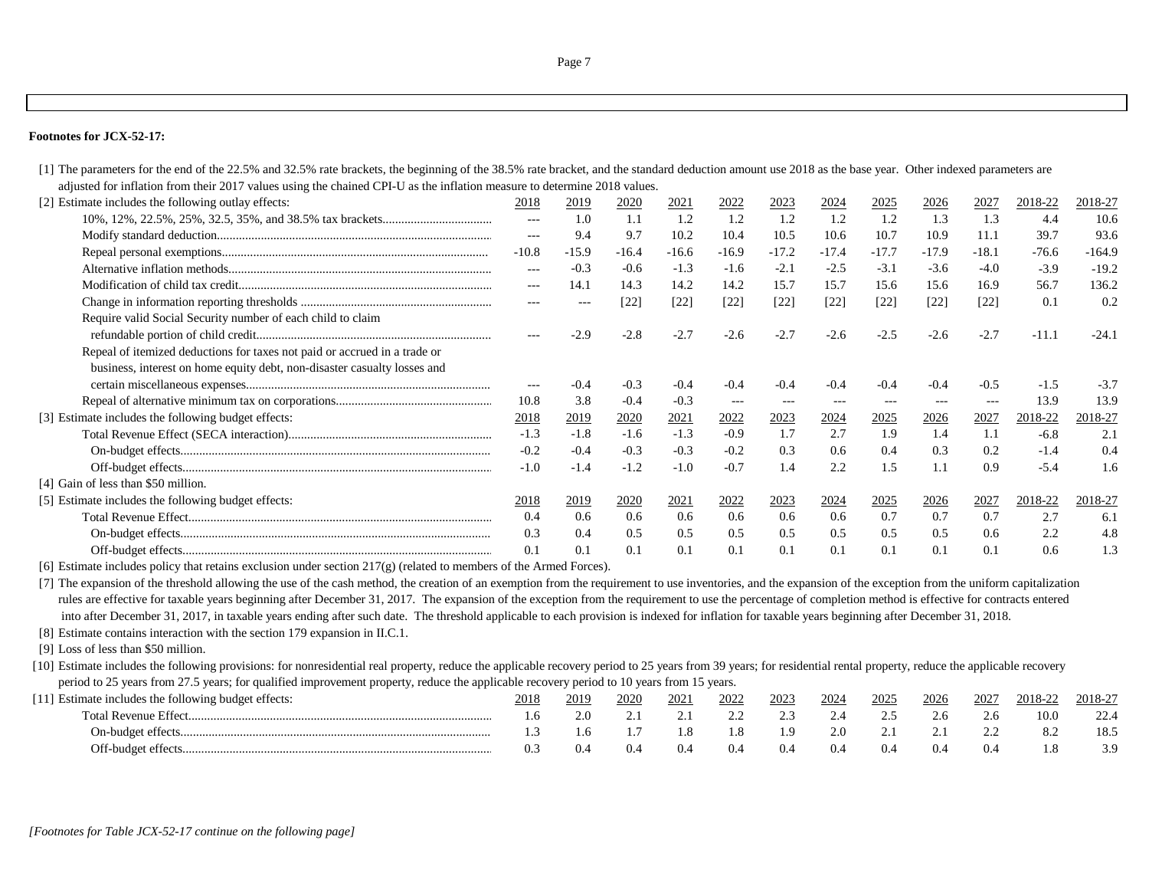## **Footnotes for JCX-52-17:**

[1] The parameters for the end of the 22.5% and 32.5% rate brackets, the beginning of the 38.5% rate bracket, and the standard deduction amount use 2018 as the base year. Other indexed parameters are adjusted for inflation from their 2017 values using the chained CPI-U as the inflation measure to determine 2018 values.

| [2] Estimate includes the following outlay effects:                       | 2018              | 2019              | <u> 2020</u> | 2021    | 2022    | 2023    | 2024              | <u> 2025 </u> | <u> 2026</u>      | 2027     | 2018-22 | 2018-27  |
|---------------------------------------------------------------------------|-------------------|-------------------|--------------|---------|---------|---------|-------------------|---------------|-------------------|----------|---------|----------|
|                                                                           | $\qquad \qquad -$ | 1.0               | 1.1          | 1.2     | 1.2     | 1.2     | 1.2               | 1.2           | 1.3               | 1.3      | 4.4     | 10.6     |
|                                                                           | $---$             | 9.4               | 9.7          | 10.2    | 10.4    | 10.5    | 10.6              | 10.7          | 10.9              | 11.1     | 39.7    | 93.6     |
|                                                                           | $-10.8$           | $-15.9$           | $-16.4$      | $-16.6$ | $-16.9$ | $-17.2$ | $-17.4$           | $-17.7$       | $-17.9$           | $-18.1$  | $-76.6$ | $-164.9$ |
|                                                                           | $\qquad \qquad -$ | $-0.3$            | $-0.6$       | $-1.3$  | $-1.6$  | $-2.1$  | $-2.5$            | $-3.1$        | $-3.6$            | $-4.0$   | $-3.9$  | $-19.2$  |
|                                                                           | $\qquad \qquad -$ | 14.1              | 14.3         | 14.2    | 14.2    | 15.7    | 15.7              | 15.6          | 15.6              | 16.9     | 56.7    | 136.2    |
|                                                                           | $---$             | $\qquad \qquad -$ | $[22]$       | $[22]$  | $[22]$  | $[22]$  | [22]              | $[22]$        | [22]              | $[22]$   | 0.1     | 0.2      |
| Require valid Social Security number of each child to claim               |                   |                   |              |         |         |         |                   |               |                   |          |         |          |
|                                                                           | $\qquad \qquad -$ | $-2.9$            | $-2.8$       | $-2.7$  | $-2.6$  | $-2.7$  | $-2.6$            | $-2.5$        | $-2.6$            | $-2.7$   | $-11.1$ | $-24.1$  |
| Repeal of itemized deductions for taxes not paid or accrued in a trade or |                   |                   |              |         |         |         |                   |               |                   |          |         |          |
| business, interest on home equity debt, non-disaster casualty losses and  |                   |                   |              |         |         |         |                   |               |                   |          |         |          |
|                                                                           | $---$             | $-0.4$            | $-0.3$       | $-0.4$  | $-0.4$  | $-0.4$  | $-0.4$            | $-0.4$        | $-0.4$            | $-0.5$   | $-1.5$  | $-3.7$   |
|                                                                           | 10.8              | 3.8               | $-0.4$       | $-0.3$  | $--$    | $---$   | $\qquad \qquad -$ | $\frac{1}{2}$ | $\qquad \qquad -$ | $\cdots$ | 13.9    | 13.9     |
| [3] Estimate includes the following budget effects:                       | 2018              | 2019              | 2020         | 2021    | 2022    | 2023    | 2024              | 2025          | 2026              | 2027     | 2018-22 | 2018-27  |
|                                                                           | $-1.3$            | $-1.8$            | $-1.6$       | $-1.3$  | $-0.9$  | 1.7     | 2.7               | 1.9           | 1.4               | -1.1     | $-6.8$  | 2.1      |
|                                                                           | $-0.2$            | $-0.4$            | $-0.3$       | $-0.3$  | $-0.2$  | 0.3     | 0.6               | 0.4           | 0.3               | 0.2      | $-1.4$  | 0.4      |
|                                                                           | $-1.0$            | $-1.4$            | $-1.2$       | $-1.0$  | $-0.7$  | 1.4     | 2.2               | 1.5           | 1.1               | 0.9      | $-5.4$  | 1.6      |
| [4] Gain of less than \$50 million.                                       |                   |                   |              |         |         |         |                   |               |                   |          |         |          |
| [5] Estimate includes the following budget effects:                       | 2018              | 2019              | 2020         | 2021    | 2022    | 2023    | 2024              | 2025          | 2026              | 2027     | 2018-22 | 2018-27  |
|                                                                           | 0.4               | 0.6               | 0.6          | 0.6     | 0.6     | 0.6     | 0.6               | 0.7           | 0.7               | 0.7      | 2.7     | 6.1      |
|                                                                           | 0.3               | 0.4               | 0.5          | 0.5     | 0.5     | 0.5     | 0.5               | 0.5           | 0.5               | 0.6      | 2.2     | 4.8      |
|                                                                           | 0.1               | 0.1               | 0.1          | 0.1     | 0.1     | 0.1     | 0.1               | 0.1           | 0.1               | 0.1      | 0.6     | 1.3      |

[6] Estimate includes policy that retains exclusion under section 217(g) (related to members of the Armed Forces).

[7] The expansion of the threshold allowing the use of the cash method, the creation of an exemption from the requirement to use inventories, and the expansion of the exception from the uniform capitalization rules are effective for taxable years beginning after December 31, 2017. The expansion of the exception from the requirement to use the percentage of completion method is effective for contracts entered into after December 31, 2017, in taxable years ending after such date. The threshold applicable to each provision is indexed for inflation for taxable years beginning after December 31, 2018.

[8] Estimate contains interaction with the section 179 expansion in II.C.1.

[9] Loss of less than \$50 million.

[10] Estimate includes the following provisions: for nonresidential real property, reduce the applicable recovery period to 25 years from 39 years; for residential rental property, reduce the applicable recovery period to 25 years from 27.5 years; for qualified improvement property, reduce the applicable recovery period to 10 years from 15 years.

| Estimate includes the following budget effects: |     | 2019 | 2020 | 202 | 2022 | $202^{\circ}$ | 2024 | 2025 | 2026 | 202'       | $2018 - 2$ | 2018-27 |
|-------------------------------------------------|-----|------|------|-----|------|---------------|------|------|------|------------|------------|---------|
| Total Revenue Effect                            | 1.0 |      |      |     |      |               |      |      |      | $\angle 0$ |            | 22.4    |
|                                                 |     |      |      |     | 1.8  | $\Omega$      | 2 Q  | . .  | . .  |            | ے .        | 18.5    |
|                                                 | 0.1 |      |      |     | U.4  |               | 0.4  |      |      |            |            |         |